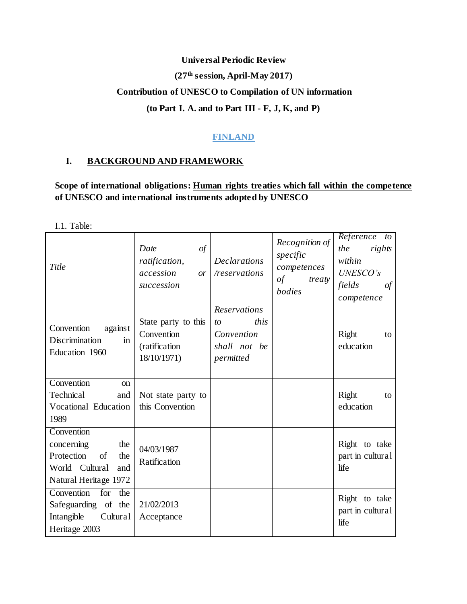# **Universal Periodic Review (27th session, April-May 2017) Contribution of UNESCO to Compilation of UN information**

#### **(to Part I. A. and to Part III - F, J, K, and P)**

# **FINLAND**

## **I. BACKGROUND AND FRAMEWORK**

# **Scope of international obligations: Human rights treaties which fall within the competence of UNESCO and international instruments adopted by UNESCO**

I.1. Table:

| Title                                                                                                        | Date<br>$\iota$<br>ratification,<br>accession<br>or<br>succession | <b>Declarations</b><br>/reservations                                  | Recognition of<br>specific<br>competences<br>of<br>treaty<br>bodies | Reference to<br>the<br>rights<br>within<br>UNESCO's<br>fields<br>$\sigma f$<br>competence |
|--------------------------------------------------------------------------------------------------------------|-------------------------------------------------------------------|-----------------------------------------------------------------------|---------------------------------------------------------------------|-------------------------------------------------------------------------------------------|
| Convention<br>against<br>Discrimination<br>in<br>Education 1960                                              | State party to this<br>Convention<br>(ratification<br>18/10/1971) | Reservations<br>this<br>to<br>Convention<br>shall not be<br>permitted |                                                                     | Right<br>to<br>education                                                                  |
| Convention<br><sub>on</sub><br>Technical<br>and<br>Vocational Education<br>1989                              | Not state party to<br>this Convention                             |                                                                       |                                                                     | Right<br>to<br>education                                                                  |
| Convention<br>concerning<br>the<br>Protection<br>of<br>the<br>World Cultural<br>and<br>Natural Heritage 1972 | 04/03/1987<br>Ratification                                        |                                                                       |                                                                     | Right to take<br>part in cultural<br>life                                                 |
| Convention<br>for<br>the<br>Safeguarding of the<br>Intangible<br>Cultural<br>Heritage 2003                   | 21/02/2013<br>Acceptance                                          |                                                                       |                                                                     | Right to take<br>part in cultural<br>life                                                 |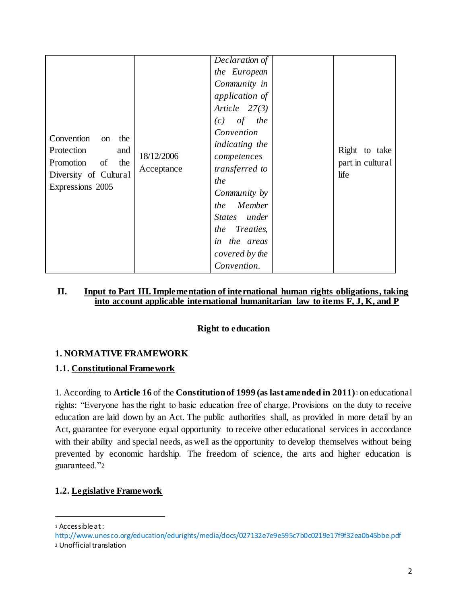| Convention<br>the<br>on<br>Protection<br>and<br>Promotion of the<br>Diversity of Cultural<br>Expressions 2005 | 18/12/2006<br>Acceptance | Declaration of<br>the European<br>Community in<br><i>application of</i><br>Article $27(3)$<br>$(c)$ of the<br>Convention<br>indicating the<br>competences<br>transferred to<br>the<br>Community by<br>Member<br>the<br>States under<br><i>Treaties,</i><br>the<br>in the areas<br>covered by the<br>Convention. |  | Right to take<br>part in cultural<br>life |
|---------------------------------------------------------------------------------------------------------------|--------------------------|-----------------------------------------------------------------------------------------------------------------------------------------------------------------------------------------------------------------------------------------------------------------------------------------------------------------|--|-------------------------------------------|
|---------------------------------------------------------------------------------------------------------------|--------------------------|-----------------------------------------------------------------------------------------------------------------------------------------------------------------------------------------------------------------------------------------------------------------------------------------------------------------|--|-------------------------------------------|

#### **II. Input to Part III. Implementation of international human rights obligations, taking into account applicable international humanitarian law to items F, J, K, and P**

#### **Right to education**

#### **1. NORMATIVE FRAMEWORK**

#### **1.1. Constitutional Framework**

1. According to **Article 16** of the **Constitution of 1999 (as last amended in 2011)**<sup>1</sup> on educational rights: "Everyone has the right to basic education free of charge. Provisions on the duty to receive education are laid down by an Act. The public authorities shall, as provided in more detail by an Act, guarantee for everyone equal opportunity to receive other educational services in accordance with their ability and special needs, as well as the opportunity to develop themselves without being prevented by economic hardship. The freedom of science, the arts and higher education is guaranteed."<sup>2</sup>

#### **1.2. Legislative Framework**

<sup>1</sup> Accessible at:

http://www.unesco.org/education/edurights/media/docs/027132e7e9e595c7b0c0219e17f9f32ea0b45bbe.pdf

<sup>2</sup> Unofficial translation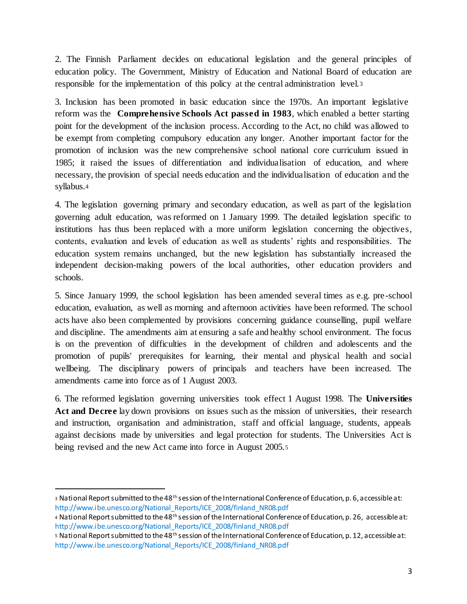2. The Finnish Parliament decides on educational legislation and the general principles of education policy. The Government, Ministry of Education and National Board of education are responsible for the implementation of this policy at the central administration level.<sup>3</sup>

3. Inclusion has been promoted in basic education since the 1970s. An important legislative reform was the **Comprehensive Schools Act passed in 1983**, which enabled a better starting point for the development of the inclusion process. According to the Act, no child was allowed to be exempt from completing compulsory education any longer. Another important factor for the promotion of inclusion was the new comprehensive school national core curriculum issued in 1985; it raised the issues of differentiation and individualisation of education, and where necessary, the provision of special needs education and the individualisation of education and the syllabus.<sup>4</sup>

4. The legislation governing primary and secondary education, as well as part of the legislation governing adult education, was reformed on 1 January 1999. The detailed legislation specific to institutions has thus been replaced with a more uniform legislation concerning the objectives, contents, evaluation and levels of education as well as students' rights and responsibilities. The education system remains unchanged, but the new legislation has substantially increased the independent decision-making powers of the local authorities, other education providers and schools.

5. Since January 1999, the school legislation has been amended several times as e.g. pre-school education, evaluation, as well as morning and afternoon activities have been reformed. The school acts have also been complemented by provisions concerning guidance counselling, pupil welfare and discipline. The amendments aim at ensuring a safe and healthy school environment. The focus is on the prevention of difficulties in the development of children and adolescents and the promotion of pupils' prerequisites for learning, their mental and physical health and social wellbeing. The disciplinary powers of principals and teachers have been increased. The amendments came into force as of 1 August 2003.

6. The reformed legislation governing universities took effect 1 August 1998. The **Universities**  Act and Decree lay down provisions on issues such as the mission of universities, their research and instruction, organisation and administration, staff and official language, students, appeals against decisions made by universities and legal protection for students. The Universities Act is being revised and the new Act came into force in August 2005.<sup>5</sup>

<sup>3</sup> National Report submitted to the 48<sup>th</sup> session of the International Conference of Education, p. 6, accessible at: http://www.ibe.unesco.org/National\_Reports/ICE\_2008/finland\_NR08.pdf

<sup>4</sup> National Report submitted to the 48<sup>th</sup> session of the International Conference of Education, p. 26, accessible at: http://www.ibe.unesco.org/National\_Reports/ICE\_2008/finland\_NR08.pdf

<sup>5</sup> National Report submitted to the 48th session of the International Conference of Education, p. 12, accessible at: http://www.ibe.unesco.org/National\_Reports/ICE\_2008/finland\_NR08.pdf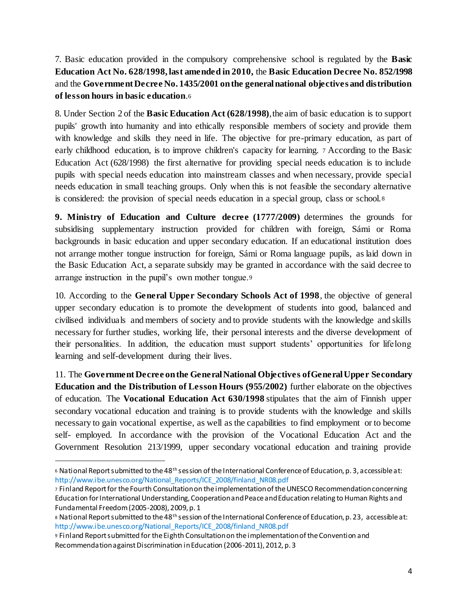7. Basic education provided in the compulsory comprehensive school is regulated by the **Basic Education Act No. 628/1998, last amended in 2010,** the **Basic Education Decree No. 852/1998**  and the **Government Decree No. 1435/2001 on the general national objectives and distribution of lesson hours in basic education**.<sup>6</sup>

8. Under Section 2 of the **Basic Education Act (628/1998)**, the aim of basic education is to support pupils' growth into humanity and into ethically responsible members of society and provide them with knowledge and skills they need in life. The objective for pre-primary education, as part of early childhood education, is to improve children's capacity for learning. <sup>7</sup> According to the Basic Education Act (628/1998) the first alternative for providing special needs education is to include pupils with special needs education into mainstream classes and when necessary, provide special needs education in small teaching groups. Only when this is not feasible the secondary alternative is considered: the provision of special needs education in a special group, class or school. <sup>8</sup>

**9. Ministry of Education and Culture decree (1777/2009)** determines the grounds for subsidising supplementary instruction provided for children with foreign, Sámi or Roma backgrounds in basic education and upper secondary education. If an educational institution does not arrange mother tongue instruction for foreign, Sámi or Roma language pupils, as laid down in the Basic Education Act, a separate subsidy may be granted in accordance with the said decree to arrange instruction in the pupil's own mother tongue.<sup>9</sup>

10. According to the **General Upper Secondary Schools Act of 1998**, the objective of general upper secondary education is to promote the development of students into good, balanced and civilised individuals and members of society and to provide students with the knowledge and skills necessary for further studies, working life, their personal interests and the diverse development of their personalities. In addition, the education must support students' opportunities for lifelong learning and self-development during their lives.

11. The **Government Decree on the General National Objectives of General Upper Secondary Education and the Distribution of Lesson Hours (955/2002)** further elaborate on the objectives of education. The **Vocational Education Act 630/1998** stipulates that the aim of Finnish upper secondary vocational education and training is to provide students with the knowledge and skills necessary to gain vocational expertise, as well as the capabilities to find employment or to become self- employed. In accordance with the provision of the Vocational Education Act and the Government Resolution 213/1999, upper secondary vocational education and training provide

<sup>6</sup> National Report submitted to the 48th session of the International Conference of Education, p. 3, accessible at: http://www.ibe.unesco.org/National\_Reports/ICE\_2008/finland\_NR08.pdf

<sup>7</sup> Finland Report for the Fourth Consultation on the implementation of the UNESCO Recommendation concerning Education for International Understanding, Cooperation and Peace and Education relating to Human Rights and Fundamental Freedom (2005-2008), 2009, p. 1

<sup>8</sup> National Report submitted to the 48<sup>th</sup> session of the International Conference of Education, p. 23, accessible at: http://www.ibe.unesco.org/National\_Reports/ICE\_2008/finland\_NR08.pdf

<sup>9</sup> Finland Report submitted for the Eighth Consultation on the implementation of the Convention and Recommendation against Discrimination in Education (2006-2011), 2012, p. 3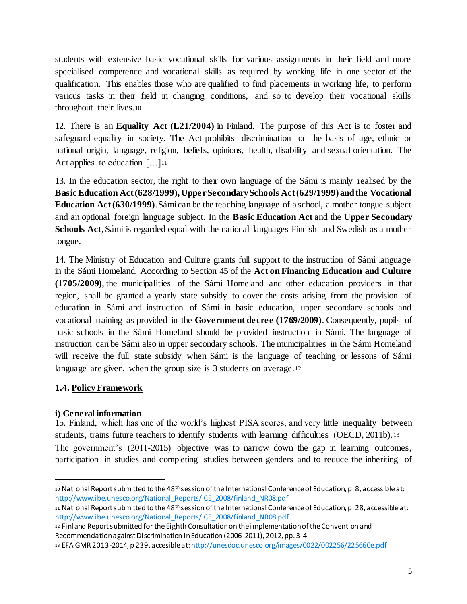students with extensive basic vocational skills for various assignments in their field and more specialised competence and vocational skills as required by working life in one sector of the qualification. This enables those who are qualified to find placements in working life, to perform various tasks in their field in changing conditions, and so to develop their vocational skills throughout their lives.<sup>10</sup>

12. There is an **Equality Act (L21/2004)** in Finland. The purpose of this Act is to foster and safeguard equality in society. The Act prohibits discrimination on the basis of age, ethnic or national origin, language, religion, beliefs, opinions, health, disability and sexual orientation. The Act applies to education [...]<sup>11</sup>

13. In the education sector, the right to their own language of the Sámi is mainly realised by the **Basic Education Act (628/1999), Upper Secondary Schools Act (629/1999) and the Vocational Education Act (630/1999)**. Sámi can be the teaching language of a school, a mother tongue subject and an optional foreign language subject. In the **Basic Education Act** and the **Upper Secondary Schools Act**, Sámi is regarded equal with the national languages Finnish and Swedish as a mother tongue.

14. The Ministry of Education and Culture grants full support to the instruction of Sámi language in the Sámi Homeland. According to Section 45 of the **Act on Financing Education and Culture (1705/2009)**, the municipalities of the Sámi Homeland and other education providers in that region, shall be granted a yearly state subsidy to cover the costs arising from the provision of education in Sámi and instruction of Sámi in basic education, upper secondary schools and vocational training as provided in the **Government decree (1769/2009)**. Consequently, pupils of basic schools in the Sámi Homeland should be provided instruction in Sámi. The language of instruction can be Sámi also in upper secondary schools. The municipalities in the Sámi Homeland will receive the full state subsidy when Sámi is the language of teaching or lessons of Sámi language are given, when the group size is 3 students on average.<sup>12</sup>

# **1.4. Policy Framework**

#### **i) General information**

l

15. Finland, which has one of the world's highest PISA scores, and very little inequality between students, trains future teachers to identify students with learning difficulties (OECD, 2011b). <sup>13</sup> The government's (2011–2015) objective was to narrow down the gap in learning outcomes, participation in studies and completing studies between genders and to reduce the inheriting of

<sup>10</sup> National Report submitted to the 48th session of the International Conference of Education, p. 8, accessible at: http://www.ibe.unesco.org/National\_Reports/ICE\_2008/finland\_NR08.pdf

<sup>11</sup> National Report submitted to the 48th session of the International Conference of Education, p. 28, accessible at: http://www.ibe.unesco.org/National\_Reports/ICE\_2008/finland\_NR08.pdf

<sup>12</sup> Finland Report submitted for the Eighth Consultation on the implementation of the Convention and Recommendation against Discrimination in Education (2006-2011), 2012, pp. 3-4

<sup>13</sup> EFA GMR 2013-2014, p 239, accesible at:http://unesdoc.unesco.org/images/0022/002256/225660e.pdf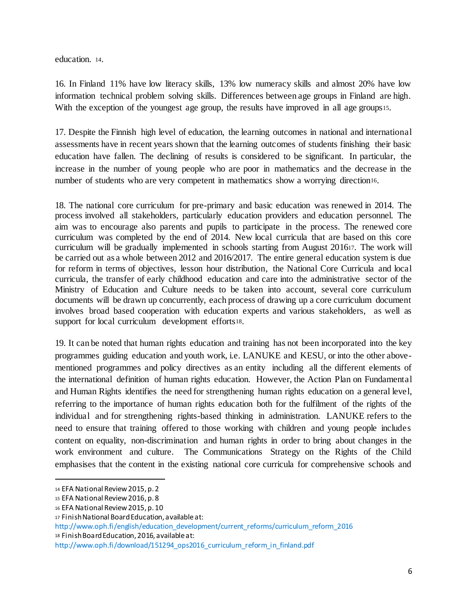education. 14.

16. In Finland 11% have low literacy skills, 13% low numeracy skills and almost 20% have low information technical problem solving skills. Differences between age groups in Finland are high. With the exception of the youngest age group, the results have improved in all age groups<sup>15</sup>.

17. Despite the Finnish high level of education, the learning outcomes in national and international assessments have in recent years shown that the learning outcomes of students finishing their basic education have fallen. The declining of results is considered to be significant. In particular, the increase in the number of young people who are poor in mathematics and the decrease in the number of students who are very competent in mathematics show a worrying direction16.

18. The national core curriculum for pre-primary and basic education was renewed in 2014. The process involved all stakeholders, particularly education providers and education personnel. The aim was to encourage also parents and pupils to participate in the process. The renewed core curriculum was completed by the end of 2014. New local curricula that are based on this core curriculum will be gradually implemented in schools starting from August 201617. The work will be carried out as a whole between 2012 and 2016/2017. The entire general education system is due for reform in terms of objectives, lesson hour distribution, the National Core Curricula and local curricula, the transfer of early childhood education and care into the administrative sector of the Ministry of Education and Culture needs to be taken into account, several core curriculum documents will be drawn up concurrently, each process of drawing up a core curriculum document involves broad based cooperation with education experts and various stakeholders, as well as support for local curriculum development efforts18.

19. It can be noted that human rights education and training has not been incorporated into the key programmes guiding education and youth work, i.e. LANUKE and KESU, or into the other abovementioned programmes and policy directives as an entity including all the different elements of the international definition of human rights education. However, the Action Plan on Fundamental and Human Rights identifies the need for strengthening human rights education on a general level, referring to the importance of human rights education both for the fulfilment of the rights of the individual and for strengthening rights-based thinking in administration. LANUKE refers to the need to ensure that training offered to those working with children and young people includes content on equality, non-discrimination and human rights in order to bring about changes in the work environment and culture. The Communications Strategy on the Rights of the Child emphasises that the content in the existing national core curricula for comprehensive schools and

<sup>14</sup> EFA National Review 2015, p. 2

<sup>15</sup> EFA National Review 2016, p. 8

<sup>16</sup> EFA National Review 2015, p. 10

<sup>17</sup> Finish National Board Education, available at:

http://www.oph.fi/english/education\_development/current\_reforms/curriculum\_reform\_2016 <sup>18</sup> Finish Board Education, 2016, available at:

http://www.oph.fi/download/151294\_ops2016\_curriculum\_reform\_in\_finland.pdf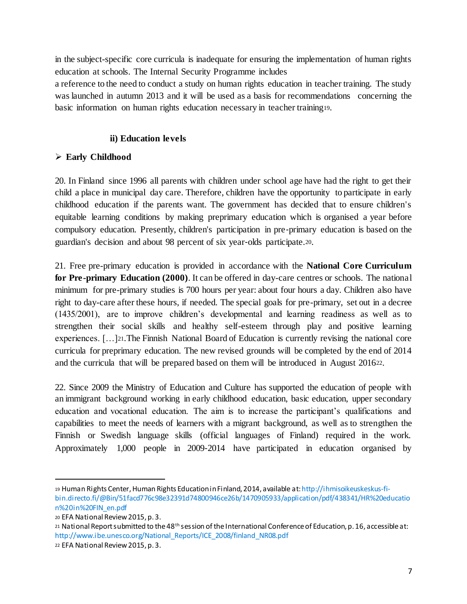in the subject-specific core curricula is inadequate for ensuring the implementation of human rights education at schools. The Internal Security Programme includes

a reference to the need to conduct a study on human rights education in teacher training. The study was launched in autumn 2013 and it will be used as a basis for recommendations concerning the basic information on human rights education necessary in teacher training19.

## **ii) Education levels**

# **Early Childhood**

20. In Finland since 1996 all parents with children under school age have had the right to get their child a place in municipal day care. Therefore, children have the opportunity to participate in early childhood education if the parents want. The government has decided that to ensure children's equitable learning conditions by making preprimary education which is organised a year before compulsory education. Presently, children's participation in pre‐primary education is based on the guardian's decision and about 98 percent of six year‐olds participate.20.

21. Free pre-primary education is provided in accordance with the **National Core Curriculum for Pre-primary Education (2000)**. It can be offered in day-care centres or schools. The national minimum for pre-primary studies is 700 hours per year: about four hours a day. Children also have right to day-care after these hours, if needed. The special goals for pre-primary, set out in a decree (1435/2001), are to improve children's developmental and learning readiness as well as to strengthen their social skills and healthy self-esteem through play and positive learning experiences. […]21.The Finnish National Board of Education is currently revising the national core curricula for preprimary education. The new revised grounds will be completed by the end of 2014 and the curricula that will be prepared based on them will be introduced in August 201622.

22. Since 2009 the Ministry of Education and Culture has supported the education of people with an immigrant background working in early childhood education, basic education, upper secondary education and vocational education. The aim is to increase the participant's qualifications and capabilities to meet the needs of learners with a migrant background, as well as to strengthen the Finnish or Swedish language skills (official languages of Finland) required in the work. Approximately 1,000 people in 2009‐2014 have participated in education organised by

<sup>19</sup> Human Rights Center, Human Rights Education in Finland, 2014, available at: http://ihmisoikeuskeskus-fibin.directo.fi/@Bin/51facd776c98e32391d74800946ce26b/1470905933/application/pdf/438341/HR%20educatio n%20in%20FIN\_en.pdf

<sup>20</sup> EFA National Review 2015, p. 3.

<sup>21</sup> National Report submitted to the 48th session of the International Conference of Education, p. 16, accessible at: http://www.ibe.unesco.org/National\_Reports/ICE\_2008/finland\_NR08.pdf

<sup>22</sup> EFA National Review 2015, p. 3.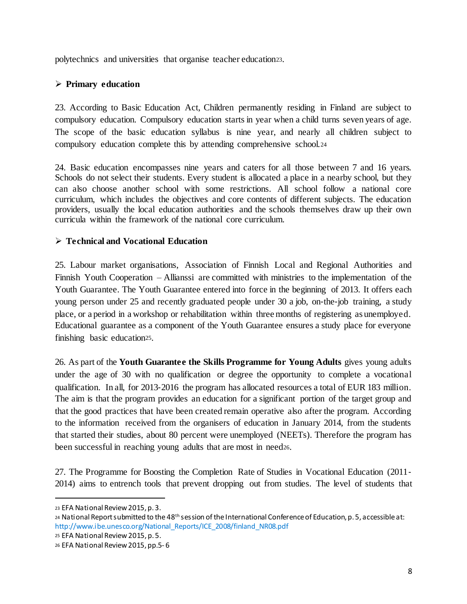polytechnics and universities that organise teacher education23.

#### **Primary education**

23. According to Basic Education Act, Children permanently residing in Finland are subject to compulsory education. Compulsory education starts in year when a child turns seven years of age. The scope of the basic education syllabus is nine year, and nearly all children subject to compulsory education complete this by attending comprehensive school.<sup>24</sup>

24. Basic education encompasses nine years and caters for all those between 7 and 16 years. Schools do not select their students. Every student is allocated a place in a nearby school, but they can also choose another school with some restrictions. All school follow a national core curriculum, which includes the objectives and core contents of different subjects. The education providers, usually the local education authorities and the schools themselves draw up their own curricula within the framework of the national core curriculum.

#### **Technical and Vocational Education**

25. Labour market organisations, Association of Finnish Local and Regional Authorities and Finnish Youth Cooperation – Allianssi are committed with ministries to the implementation of the Youth Guarantee. The Youth Guarantee entered into force in the beginning of 2013. It offers each young person under 25 and recently graduated people under 30 a job, on-the-job training, a study place, or a period in a workshop or rehabilitation within three months of registering as unemployed. Educational guarantee as a component of the Youth Guarantee ensures a study place for everyone finishing basic education25.

26. As part of the **Youth Guarantee the Skills Programme for Young Adults** gives young adults under the age of 30 with no qualification or degree the opportunity to complete a vocational qualification. In all, for 2013‐2016 the program has allocated resources a total of EUR 183 million. The aim is that the program provides an education for a significant portion of the target group and that the good practices that have been created remain operative also after the program. According to the information received from the organisers of education in January 2014, from the students that started their studies, about 80 percent were unemployed (NEETs). Therefore the program has been successful in reaching young adults that are most in need<sub>26</sub>.

27. The Programme for Boosting the Completion Rate of Studies in Vocational Education (2011‐ 2014) aims to entrench tools that prevent dropping out from studies. The level of students that

l

<sup>25</sup> EFA National Review 2015, p. 5.

<sup>23</sup> EFA National Review 2015, p. 3.

<sup>24</sup> National Report submitted to the 48th session of the International Conference of Education, p. 5, accessible at: http://www.ibe.unesco.org/National\_Reports/ICE\_2008/finland\_NR08.pdf

<sup>26</sup> EFA National Review 2015, pp.5- 6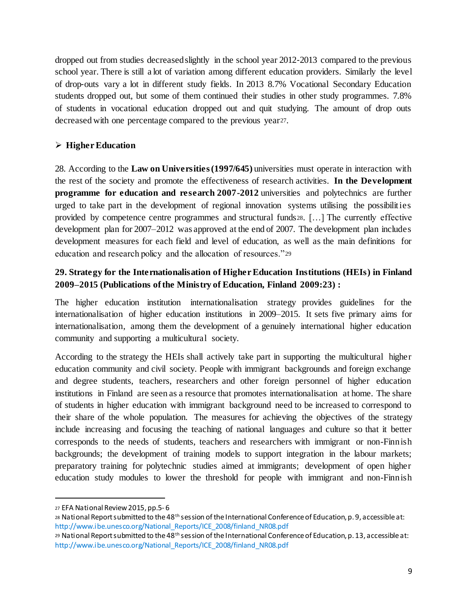dropped out from studies decreased slightly in the school year 2012‐2013 compared to the previous school year. There is still a lot of variation among different education providers. Similarly the level of drop‐outs vary a lot in different study fields. In 2013 8.7% Vocational Secondary Education students dropped out, but some of them continued their studies in other study programmes. 7.8% of students in vocational education dropped out and quit studying. The amount of drop outs decreased with one percentage compared to the previous year27.

## **Higher Education**

28. According to the **Law on Universities (1997/645)** universities must operate in interaction with the rest of the society and promote the effectiveness of research activities. **In the Development programme for education and research 2007-2012** universities and polytechnics are further urged to take part in the development of regional innovation systems utilising the possibilities provided by competence centre programmes and structural funds28. […] The currently effective development plan for 2007–2012 was approved at the end of 2007. The development plan includes development measures for each field and level of education, as well as the main definitions for education and research policy and the allocation of resources."<sup>29</sup>

## **29. Strategy for the Internationalisation of Higher Education Institutions (HEIs) in Finland 2009–2015 (Publications of the Ministry of Education, Finland 2009:23) :**

The higher education institution internationalisation strategy provides guidelines for the internationalisation of higher education institutions in 2009–2015. It sets five primary aims for internationalisation, among them the development of a genuinely international higher education community and supporting a multicultural society.

According to the strategy the HEIs shall actively take part in supporting the multicultural higher education community and civil society. People with immigrant backgrounds and foreign exchange and degree students, teachers, researchers and other foreign personnel of higher education institutions in Finland are seen as a resource that promotes internationalisation at home. The share of students in higher education with immigrant background need to be increased to correspond to their share of the whole population. The measures for achieving the objectives of the strategy include increasing and focusing the teaching of national languages and culture so that it better corresponds to the needs of students, teachers and researchers with immigrant or non-Finnish backgrounds; the development of training models to support integration in the labour markets; preparatory training for polytechnic studies aimed at immigrants; development of open higher education study modules to lower the threshold for people with immigrant and non-Finnish

<sup>27</sup> EFA National Review 2015, pp.5- 6

<sup>28</sup> National Report submitted to the 48<sup>th</sup> session of the International Conference of Education, p. 9, accessible at: http://www.ibe.unesco.org/National\_Reports/ICE\_2008/finland\_NR08.pdf

<sup>29</sup> National Report submitted to the 48<sup>th</sup> session of the International Conference of Education, p. 13, accessible at: http://www.ibe.unesco.org/National\_Reports/ICE\_2008/finland\_NR08.pdf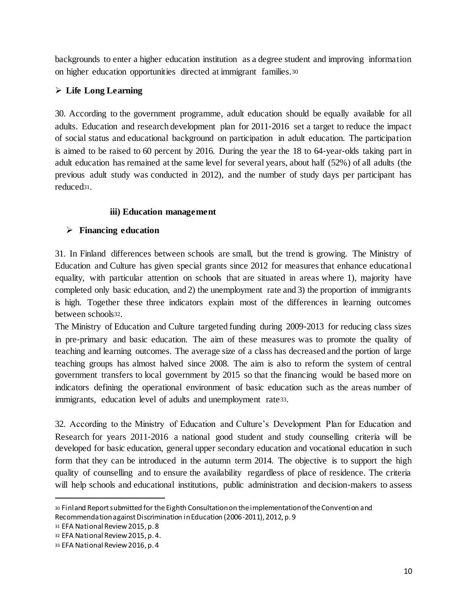backgrounds to enter a higher education institution as a degree student and improving information on higher education opportunities directed at immigrant families.<sup>30</sup>

# **Life Long Learning**

30. According to the government programme, adult education should be equally available for all adults. Education and research development plan for 2011‐2016 set a target to reduce the impact of social status and educational background on participation in adult education. The participation is aimed to be raised to 60 percent by 2016. During the year the 18 to 64‐year‐olds taking part in adult education has remained at the same level for several years, about half (52%) of all adults (the previous adult study was conducted in 2012), and the number of study days per participant has reduced31.

#### **iii) Education management**

# **Financing education**

31. In Finland differences between schools are small, but the trend is growing. The Ministry of Education and Culture has given special grants since 2012 for measures that enhance educational equality, with particular attention on schools that are situated in areas where 1), majority have completed only basic education, and 2) the unemployment rate and 3) the proportion of immigrants is high. Together these three indicators explain most of the differences in learning outcomes between schools32.

The Ministry of Education and Culture targeted funding during 2009‐2013 for reducing class sizes in pre‐primary and basic education. The aim of these measures was to promote the quality of teaching and learning outcomes. The average size of a class has decreased and the portion of large teaching groups has almost halved since 2008. The aim is also to reform the system of central government transfers to local government by 2015 so that the financing would be based more on indicators defining the operational environment of basic education such as the areas number of immigrants, education level of adults and unemployment rate33.

32. According to the Ministry of Education and Culture's Development Plan for Education and Research for years 2011–2016 a national good student and study counselling criteria will be developed for basic education, general upper secondary education and vocational education in such form that they can be introduced in the autumn term 2014. The objective is to support the high quality of counselling and to ensure the availability regardless of place of residence. The criteria will help schools and educational institutions, public administration and decision–makers to assess

<sup>30</sup> Finland Report submitted for the Eighth Consultation on the implementation of the Convention and Recommendation against Discrimination in Education (2006-2011), 2012, p. 9

<sup>31</sup> EFA National Review 2015, p. 8

<sup>32</sup> EFA National Review 2015, p. 4.

<sup>33</sup> EFA National Review 2016, p. 4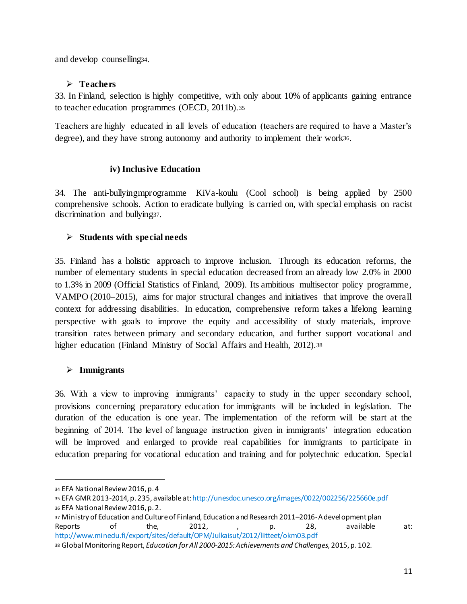and develop counselling34.

#### **Teachers**

33. In Finland, selection is highly competitive, with only about 10% of applicants gaining entrance to teacher education programmes (OECD, 2011b).<sup>35</sup>

Teachers are highly educated in all levels of education (teachers are required to have a Master's degree), and they have strong autonomy and authority to implement their work36.

#### **iv) Inclusive Education**

34. The anti-bullyingmprogramme KiVa-koulu (Cool school) is being applied by 2500 comprehensive schools. Action to eradicate bullying is carried on, with special emphasis on racist discrimination and bullying37.

# **Students with special needs**

35. Finland has a holistic approach to improve inclusion. Through its education reforms, the number of elementary students in special education decreased from an already low 2.0% in 2000 to 1.3% in 2009 (Official Statistics of Finland, 2009). Its ambitious multisector policy programme, VAMPO (2010–2015), aims for major structural changes and initiatives that improve the overall context for addressing disabilities. In education, comprehensive reform takes a lifelong learning perspective with goals to improve the equity and accessibility of study materials, improve transition rates between primary and secondary education, and further support vocational and higher education (Finland Ministry of Social Affairs and Health, 2012).<sup>38</sup>

# **Immigrants**

36. With a view to improving immigrants' capacity to study in the upper secondary school, provisions concerning preparatory education for immigrants will be included in legislation. The duration of the education is one year. The implementation of the reform will be start at the beginning of 2014. The level of language instruction given in immigrants' integration education will be improved and enlarged to provide real capabilities for immigrants to participate in education preparing for vocational education and training and for polytechnic education. Special

<sup>34</sup> EFA National Review 2016, p. 4

<sup>35</sup> EFA GMR 2013-2014, p. 235, available at:http://unesdoc.unesco.org/images/0022/002256/225660e.pdf

<sup>36</sup> EFA National Review 2016, p. 2.

<sup>37</sup> Ministry of Education and Culture of Finland, Education and Research 2011–2016-A development plan Reports of the, 2012, , p. 28, available at: http://www.minedu.fi/export/sites/default/OPM/Julkaisut/2012/liitteet/okm03.pdf

<sup>38</sup> Global Monitoring Report, *Education for All 2000-2015: Achievements and Challenges*, 2015, p. 102.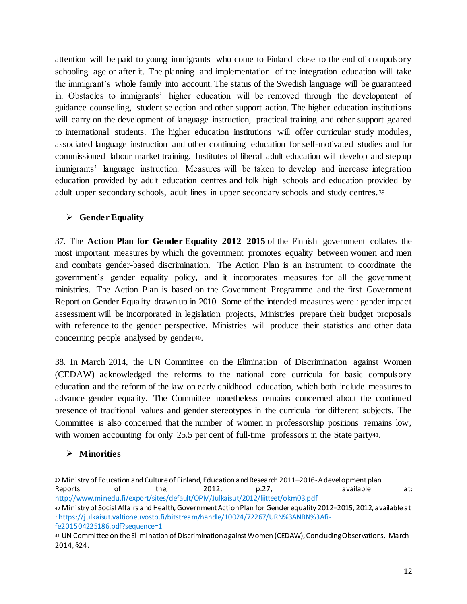attention will be paid to young immigrants who come to Finland close to the end of compulsory schooling age or after it. The planning and implementation of the integration education will take the immigrant's whole family into account. The status of the Swedish language will be guaranteed in. Obstacles to immigrants' higher education will be removed through the development of guidance counselling, student selection and other support action. The higher education institutions will carry on the development of language instruction, practical training and other support geared to international students. The higher education institutions will offer curricular study modules, associated language instruction and other continuing education for self-motivated studies and for commissioned labour market training. Institutes of liberal adult education will develop and step up immigrants' language instruction. Measures will be taken to develop and increase integration education provided by adult education centres and folk high schools and education provided by adult upper secondary schools, adult lines in upper secondary schools and study centres.<sup>39</sup>

## **Gender Equality**

37. The **Action Plan for Gender Equality 2012–2015** of the Finnish government collates the most important measures by which the government promotes equality between women and men and combats gender-based discrimination. The Action Plan is an instrument to coordinate the government's gender equality policy, and it incorporates measures for all the government ministries. The Action Plan is based on the Government Programme and the first Government Report on Gender Equality drawn up in 2010. Some of the intended measures were : gender impact assessment will be incorporated in legislation projects, Ministries prepare their budget proposals with reference to the gender perspective, Ministries will produce their statistics and other data concerning people analysed by gender40.

38. In March 2014, the UN Committee on the Elimination of Discrimination against Women (CEDAW) acknowledged the reforms to the national core curricula for basic compulsory education and the reform of the law on early childhood education, which both include measures to advance gender equality. The Committee nonetheless remains concerned about the continued presence of traditional values and gender stereotypes in the curricula for different subjects. The Committee is also concerned that the number of women in professorship positions remains low, with women accounting for only 25.5 per cent of full-time professors in the State party41.

# **Minorities**

<sup>39</sup> Ministry of Education and Culture of Finland, Education and Research 2011–2016-A development plan Reports of the, 2012, p.27, available at: http://www.minedu.fi/export/sites/default/OPM/Julkaisut/2012/liitteet/okm03.pdf

<sup>40</sup> Ministry of Social Affairs and Health, Government Action Plan for Gender equality 2012−2015, 2012, available at : https://julkaisut.valtioneuvosto.fi/bitstream/handle/10024/72267/URN%3ANBN%3Afife201504225186.pdf?sequence=1

<sup>41</sup> UN Committee on the Elimination of Discrimination against Women (CEDAW), Concluding Observations, March 2014, §24.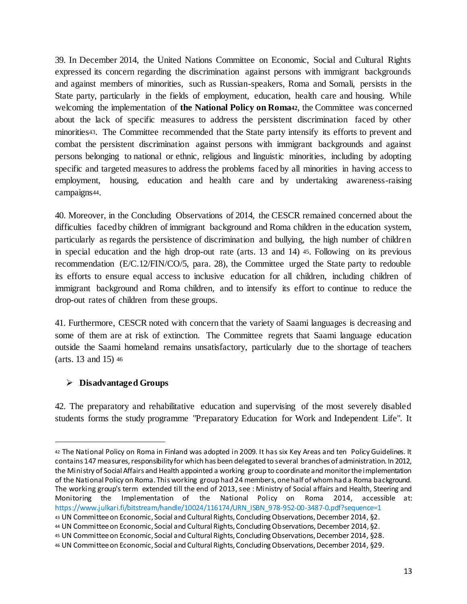39. In December 2014, the United Nations Committee on Economic, Social and Cultural Rights expressed its concern regarding the discrimination against persons with immigrant backgrounds and against members of minorities, such as Russian-speakers, Roma and Somali, persists in the State party, particularly in the fields of employment, education, health care and housing. While welcoming the implementation of **the National Policy on Roma42**, the Committee was concerned about the lack of specific measures to address the persistent discrimination faced by other minorities43. The Committee recommended that the State party intensify its efforts to prevent and combat the persistent discrimination against persons with immigrant backgrounds and against persons belonging to national or ethnic, religious and linguistic minorities, including by adopting specific and targeted measures to address the problems faced by all minorities in having access to employment, housing, education and health care and by undertaking awareness-raising campaigns44.

40. Moreover, in the Concluding Observations of 2014, the CESCR remained concerned about the difficulties faced by children of immigrant background and Roma children in the education system, particularly as regards the persistence of discrimination and bullying, the high number of children in special education and the high drop-out rate (arts. 13 and 14) <sup>45</sup>. Following on its previous recommendation (E/C.12/FIN/CO/5, para. 28), the Committee urged the State party to redouble its efforts to ensure equal access to inclusive education for all children, including children of immigrant background and Roma children, and to intensify its effort to continue to reduce the drop-out rates of children from these groups.

41. Furthermore, CESCR noted with concern that the variety of Saami languages is decreasing and some of them are at risk of extinction. The Committee regrets that Saami language education outside the Saami homeland remains unsatisfactory, particularly due to the shortage of teachers (arts. 13 and 15) <sup>46</sup>

# **Disadvantaged Groups**

1

42. The preparatory and rehabilitative education and supervising of the most severely disabled students forms the study programme "Preparatory Education for Work and Independent Life". It

<sup>42</sup> The National Policy on Roma in Finland was adopted in 2009. It has six Key Areas and ten Policy Guidelines. It contains 147 measures, responsibility for which has been delegated to several branches of administration. In 2012, the Ministry of Social Affairs and Health appointed a working group to coordinate and monitor the implementation of the National Policy on Roma. This working group had 24 members, one half of whom had a Roma background. The working group's term extended till the end of 2013, see : Ministry of Social affairs and Health, Steering and Monitoring the Implementation of the National Policy on Roma 2014, accessible at: https://www.julkari.fi/bitstream/handle/10024/116174/URN\_ISBN\_978-952-00-3487-0.pdf?sequence=1

<sup>43</sup> UN Committee on Economic, Social and Cultural Rights, Concluding Observations, December 2014, §2.

<sup>44</sup> UN Committee on Economic, Social and Cultural Rights, Concluding Observations, December 2014, §2.

<sup>45</sup> UN Committee on Economic, Social and Cultural Rights, Concluding Observations, December 2014, §28.

<sup>46</sup> UN Committee on Economic, Social and Cultural Rights, Concluding Observations, December 2014, §29.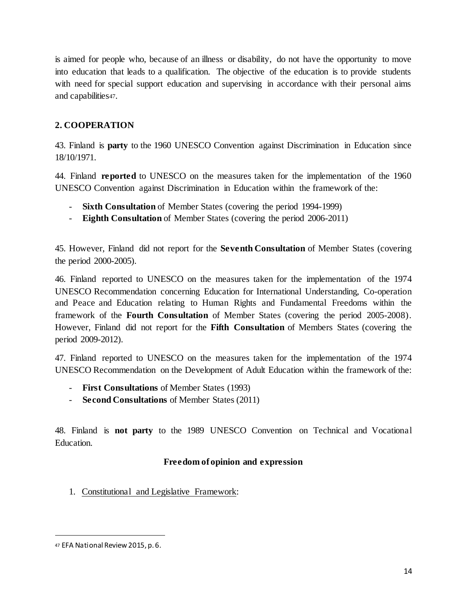is aimed for people who, because of an illness or disability, do not have the opportunity to move into education that leads to a qualification. The objective of the education is to provide students with need for special support education and supervising in accordance with their personal aims and capabilities47.

# **2. COOPERATION**

43. Finland is **party** to the 1960 UNESCO Convention against Discrimination in Education since 18/10/1971.

44. Finland **reported** to UNESCO on the measures taken for the implementation of the 1960 UNESCO Convention against Discrimination in Education within the framework of the:

- **Sixth Consultation** of Member States (covering the period 1994-1999)
- **Eighth Consultation** of Member States (covering the period 2006-2011)

45. However, Finland did not report for the **Seventh Consultation** of Member States (covering the period 2000-2005).

46. Finland reported to UNESCO on the measures taken for the implementation of the 1974 UNESCO Recommendation concerning Education for International Understanding, Co-operation and Peace and Education relating to Human Rights and Fundamental Freedoms within the framework of the **Fourth Consultation** of Member States (covering the period 2005-2008). However, Finland did not report for the **Fifth Consultation** of Members States (covering the period 2009-2012).

47. Finland reported to UNESCO on the measures taken for the implementation of the 1974 UNESCO Recommendation on the Development of Adult Education within the framework of the:

- **First Consultations** of Member States (1993)
- **Second Consultations** of Member States (2011)

48. Finland is **not party** to the 1989 UNESCO Convention on Technical and Vocational Education.

# **Freedom of opinion and expression**

1. Constitutional and Legislative Framework:

<sup>47</sup> EFA National Review 2015, p. 6.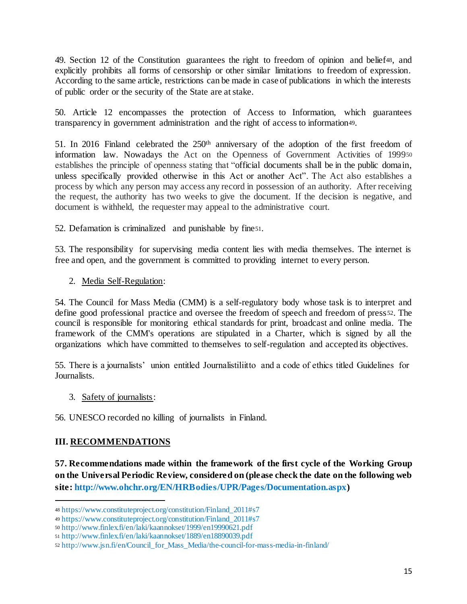49. Section 12 of the Constitution guarantees the right to freedom of opinion and belief48, and explicitly prohibits all forms of censorship or other similar limitations to freedom of expression. According to the same article, restrictions can be made in case of publications in which the interests of public order or the security of the State are at stake.

50. Article 12 encompasses the protection of Access to Information, which guarantees transparency in government administration and the right of access to information49.

51. In 2016 Finland celebrated the  $250<sup>th</sup>$  anniversary of the adoption of the first freedom of information law. Nowadays the Act on the Openness of Government Activities of 1999<sup>50</sup> establishes the principle of openness stating that "official documents shall be in the public domain, unless specifically provided otherwise in this Act or another Act". The Act also establishes a process by which any person may access any record in possession of an authority. After receiving the request, the authority has two weeks to give the document. If the decision is negative, and document is withheld, the requester may appeal to the administrative court.

52. Defamation is criminalized and punishable by fine51.

53. The responsibility for supervising media content lies with media themselves. The internet is free and open, and the government is committed to providing internet to every person.

2. Media Self-Regulation:

54. The Council for Mass Media (CMM) is a self-regulatory body whose task is to interpret and define good professional practice and oversee the freedom of speech and freedom of press <sup>52</sup>. The council is responsible for monitoring ethical standards for print, broadcast and online media. The framework of the CMM's operations are stipulated in a Charter, which is signed by all the organizations which have committed to themselves to self-regulation and accepted its objectives.

55. There is a journalists' union entitled Journalistiliitto and a code of ethics titled Guidelines for Journalists.

3. Safety of journalists:

56. UNESCO recorded no killing of journalists in Finland.

# **III. RECOMMENDATIONS**

1

**57. Recommendations made within the framework of the first cycle of the Working Group on the Universal Periodic Review, considered on (please check the date on the following web site: http://www.ohchr.org/EN/HRBodies/UPR/Pages/Documentation.aspx)**

<sup>48</sup> https://www.constituteproject.org/constitution/Finland\_2011#s7

<sup>49</sup> https://www.constituteproject.org/constitution/Finland\_2011#s7

<sup>50</sup> http://www.finlex.fi/en/laki/kaannokset/1999/en19990621.pdf

<sup>51</sup> http://www.finlex.fi/en/laki/kaannokset/1889/en18890039.pdf

<sup>52</sup> http://www.jsn.fi/en/Council for Mass Media/the-council-for-mass-media-in-finland/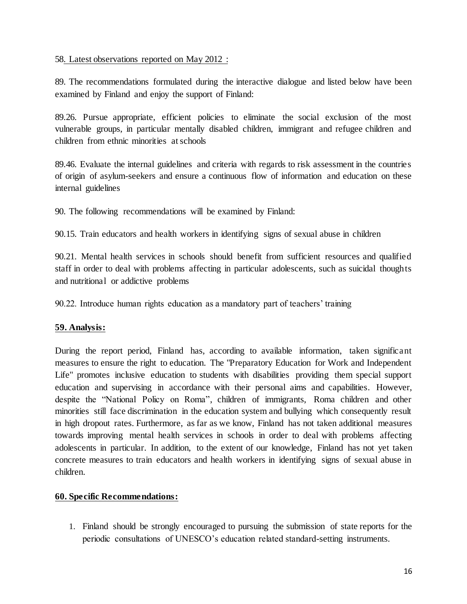#### 58. Latest observations reported on May 2012 :

89. The recommendations formulated during the interactive dialogue and listed below have been examined by Finland and enjoy the support of Finland:

89.26. Pursue appropriate, efficient policies to eliminate the social exclusion of the most vulnerable groups, in particular mentally disabled children, immigrant and refugee children and children from ethnic minorities at schools

89.46. Evaluate the internal guidelines and criteria with regards to risk assessment in the countries of origin of asylum-seekers and ensure a continuous flow of information and education on these internal guidelines

90. The following recommendations will be examined by Finland:

90.15. Train educators and health workers in identifying signs of sexual abuse in children

90.21. Mental health services in schools should benefit from sufficient resources and qualified staff in order to deal with problems affecting in particular adolescents, such as suicidal thoughts and nutritional or addictive problems

90.22. Introduce human rights education as a mandatory part of teachers' training

#### **59. Analysis:**

During the report period, Finland has, according to available information, taken significant measures to ensure the right to education. The "Preparatory Education for Work and Independent Life" promotes inclusive education to students with disabilities providing them special support education and supervising in accordance with their personal aims and capabilities. However, despite the "National Policy on Roma", children of immigrants, Roma children and other minorities still face discrimination in the education system and bullying which consequently result in high dropout rates. Furthermore, as far as we know, Finland has not taken additional measures towards improving mental health services in schools in order to deal with problems affecting adolescents in particular. In addition, to the extent of our knowledge, Finland has not yet taken concrete measures to train educators and health workers in identifying signs of sexual abuse in children.

#### **60. Specific Recommendations:**

1. Finland should be strongly encouraged to pursuing the submission of state reports for the periodic consultations of UNESCO's education related standard-setting instruments.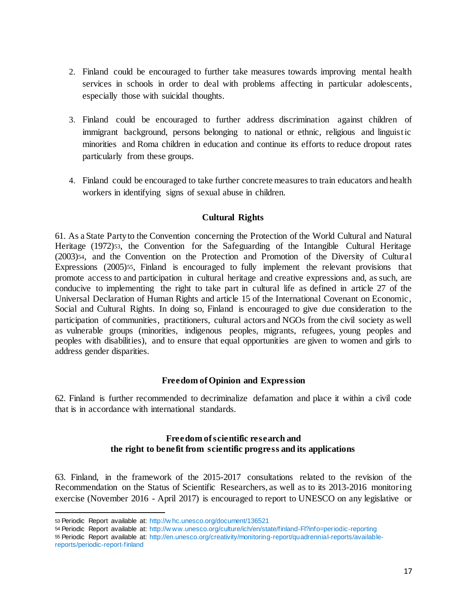- 2. Finland could be encouraged to further take measures towards improving mental health services in schools in order to deal with problems affecting in particular adolescents, especially those with suicidal thoughts.
- 3. Finland could be encouraged to further address discrimination against children of immigrant background, persons belonging to national or ethnic, religious and linguistic minorities and Roma children in education and continue its efforts to reduce dropout rates particularly from these groups.
- 4. Finland could be encouraged to take further concrete measures to train educators and health workers in identifying signs of sexual abuse in children.

#### **Cultural Rights**

61. As a State Party to the Convention concerning the Protection of the World Cultural and Natural Heritage (1972)53, the Convention for the Safeguarding of the Intangible Cultural Heritage (2003)54, and the Convention on the Protection and Promotion of the Diversity of Cultural Expressions (2005)<sup>55</sup>, Finland is encouraged to fully implement the relevant provisions that promote access to and participation in cultural heritage and creative expressions and, as such, are conducive to implementing the right to take part in cultural life as defined in article 27 of the Universal Declaration of Human Rights and article 15 of the International Covenant on Economic, Social and Cultural Rights. In doing so, Finland is encouraged to give due consideration to the participation of communities, practitioners, cultural actors and NGOs from the civil society as well as vulnerable groups (minorities, indigenous peoples, migrants, refugees, young peoples and peoples with disabilities), and to ensure that equal opportunities are given to women and girls to address gender disparities.

#### **Freedom of Opinion and Expression**

62. Finland is further recommended to decriminalize defamation and place it within a civil code that is in accordance with international standards.

#### **Freedom of scientific research and the right to benefit from scientific progress and its applications**

63. Finland, in the framework of the 2015-2017 consultations related to the revision of the Recommendation on the Status of Scientific Researchers, as well as to its 2013-2016 monitoring exercise (November 2016 - April 2017) is encouraged to report to UNESCO on any legislative or

<sup>53</sup> Periodic Report available at: http://w hc.unesco.org/document/136521

<sup>54</sup> Periodic Report available at: http://w ww.unesco.org/culture/ich/en/state/finland-FI?info=periodic-reporting

<sup>55</sup> Periodic Report available at: http://en.unesco.org/creativity/monitoring-report/quadrennial-reports/available-

reports/periodic-report-finland